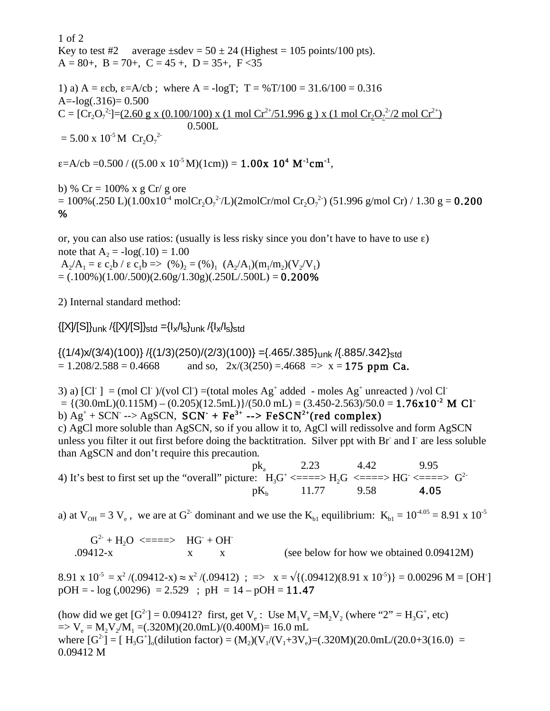1 of 2 Key to test #2 average  $\pm$ sdev = 50  $\pm$  24 (Highest = 105 points/100 pts).  $A = 80+$ ,  $B = 70+$ ,  $C = 45+$ ,  $D = 35+$ ,  $F < 35$ 1) a)  $A = \varepsilon cb$ ,  $\varepsilon = A/cb$ ; where  $A = -logT$ ;  $T = \frac{96T}{100} = 31.6/100 = 0.316$  $A = -log(.316) = 0.500$  $C = [Cr_2O_7^{2}]=[2.60 \text{ g x } (0.100/100) \text{ x } (1 \text{ mol Cr}^{2}/51.996 \text{ g}) \text{ x } (1 \text{ mol Cr}_2O_7^{2}/2 \text{ mol Cr}^{2})]$  0.500L  $= 5.00 \times 10^{-5} M \text{ Cr}_2\text{O}_7^{2}$ 

 $\varepsilon = A/cb = 0.500 / ((5.00 \times 10^{-5} M)(1cm)) = 1.00 \times 10^{4} M^{-1}cm^{-1}$ ,

b) %  $Cr = 100\%$  x g  $Cr / g$  ore  $= 100\%$ (.250 L)(1.00x10<sup>-4</sup> molCr<sub>2</sub>O<sub>7</sub><sup>2</sup>/L)(2molCr/mol Cr<sub>2</sub>O<sub>7</sub><sup>2</sup>) (51.996 g/mol Cr) / 1.30 g = **0.200** %

or, you can also use ratios: (usually is less risky since you don't have to have to use  $\varepsilon$ ) note that  $A_2 = -log(.10) = 1.00$  $A_2/A_1 = \varepsilon c_2b / \varepsilon c_1b \Rightarrow (% )_2 = (%)_1 (A_2/A_1)(m_1/m_2)(V_2/V_1)$  $= (.100\%) (1.00/.500)(2.60g/1.30g)(.250L/.500L) = 0.200\%$ 

2) Internal standard method:

 ${[X]/[S]}_{\text{unk}} / {[X]/[S]}_{\text{std}} = {I_X/I_S}_{\text{unk}} / {I_X/I_S}_{\text{std}}$ 

 $\{(1/4)x/(3/4)(100)\}/\{(1/3)(250)/(2/3)(100)\} = \{.465/.385\}_{unk}/\{.885/.342\}_{std}$  $= 1.208/2.588 = 0.4668$  and so,  $2x/(3(250) = .4668 \implies x = 175$  ppm Ca.

3) a) [Cl<sup>-</sup>] = (mol Cl<sup>-</sup>)/(vol Cl<sup>-</sup>) = (total moles  $Ag^+$  added - moles  $Ag^+$  unreacted ) /vol Cl<sup>-</sup>  $= \{(30.0 \text{mL})(0.115 \text{M}) - (0.205)(12.5 \text{mL})\}/(50.0 \text{ mL}) = (3.450 - 2.563)/50.0 = 1.76 \times 10^{-2} \text{M} \text{Cl}^{-1}$ b)  $Ag^+$  + SCN --> AgSCN, SCN + Fe<sup>3+</sup> --> FeSCN<sup>2+</sup>(red complex) c) AgCl more soluble than AgSCN, so if you allow it to, AgCl will redissolve and form AgSCN unless you filter it out first before doing the backtitration. Silver ppt with Br and I are less soluble than AgSCN and don't require this precaution.

 $pk_a$  2.23 4.42 9.95 4) It's best to first set up the "overall" picture:  $H_3G^{\dagger} \le 1 \le H_2G \le 1 \le H_3G^{\dagger} \le 1 \le H_3G$  $pK_b$  11.77 9.58 4.05

a) at  $V_{OH} = 3 V_e$ , we are at  $G^2$  dominant and we use the  $K_{bl}$  equilibrium:  $K_{bl} = 10^{-4.05} = 8.91 \times 10^{-5}$ 

 $G^2$  +  $H_2O \le 222$  +  $HG$  +  $OH^-$ .09412-x x x (see below for how we obtained 0.09412M)

 $8.91 \times 10^{-5} = x^2 / (.09412 - x) \approx x^2 / (.09412)$ ;  $\Rightarrow x = \sqrt{(0.09412)(8.91 \times 10^{-5})} = 0.00296 \text{ M} = [\text{OH}^{\text{T}}]$  $pOH = - log(.00296) = 2.529$ ;  $pH = 14 - pOH = 11.47$ 

(how did we get  $[G^2] = 0.09412$ ? first, get  $V_e$ : Use  $M_1V_e = M_2V_2$  (where "2" =  $H_3G^+$ , etc)  $=$   $V_e = M_2V_2/M_1 = (.320M)(20.0mL)/(0.400M) = 16.0 mL$ where  $[G^2] = [H_3G^+]_0$ (dilution factor) =  $(M_2)(V_1/(V_1+3V_e) = (.320M)(20.0mL/(20.0+3(16.0)) =$ 0.09412 M